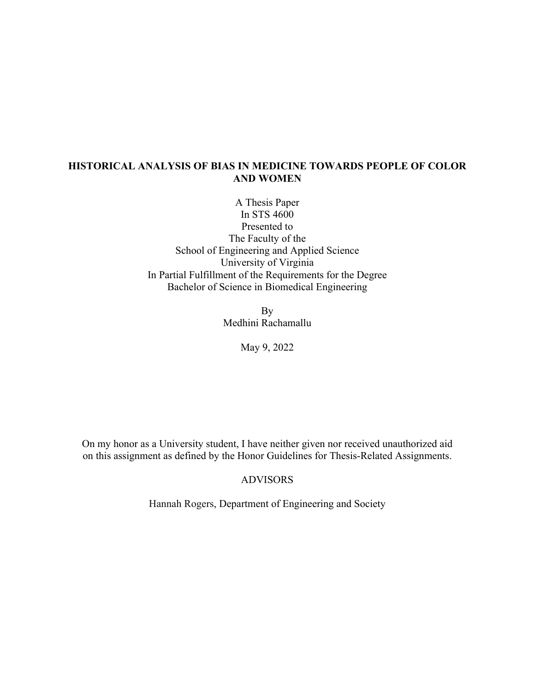# **HISTORICAL ANALYSIS OF BIAS IN MEDICINE TOWARDS PEOPLE OF COLOR AND WOMEN**

A Thesis Paper In STS 4600 Presented to The Faculty of the School of Engineering and Applied Science University of Virginia In Partial Fulfillment of the Requirements for the Degree Bachelor of Science in Biomedical Engineering

> By Medhini Rachamallu

> > May 9, 2022

On my honor as a University student, I have neither given nor received unauthorized aid on this assignment as defined by the Honor Guidelines for Thesis-Related Assignments.

#### ADVISORS

Hannah Rogers, Department of Engineering and Society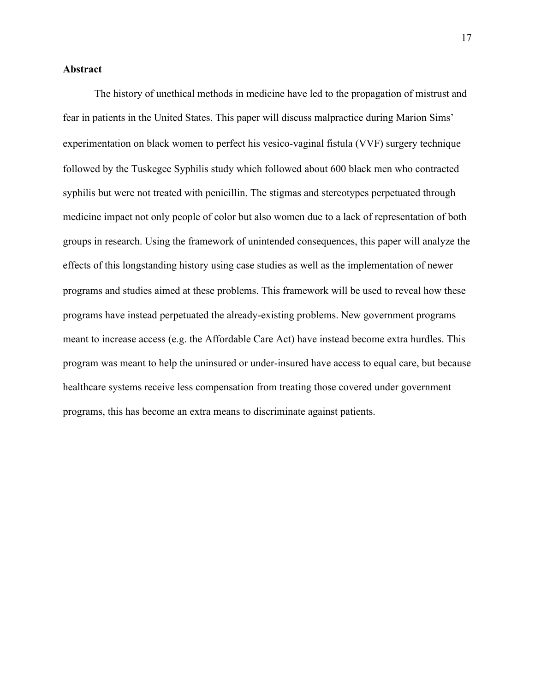# **Abstract**

The history of unethical methods in medicine have led to the propagation of mistrust and fear in patients in the United States. This paper will discuss malpractice during Marion Sims' experimentation on black women to perfect his vesico-vaginal fistula (VVF) surgery technique followed by the Tuskegee Syphilis study which followed about 600 black men who contracted syphilis but were not treated with penicillin. The stigmas and stereotypes perpetuated through medicine impact not only people of color but also women due to a lack of representation of both groups in research. Using the framework of unintended consequences, this paper will analyze the effects of this longstanding history using case studies as well as the implementation of newer programs and studies aimed at these problems. This framework will be used to reveal how these programs have instead perpetuated the already-existing problems. New government programs meant to increase access (e.g. the Affordable Care Act) have instead become extra hurdles. This program was meant to help the uninsured or under-insured have access to equal care, but because healthcare systems receive less compensation from treating those covered under government programs, this has become an extra means to discriminate against patients.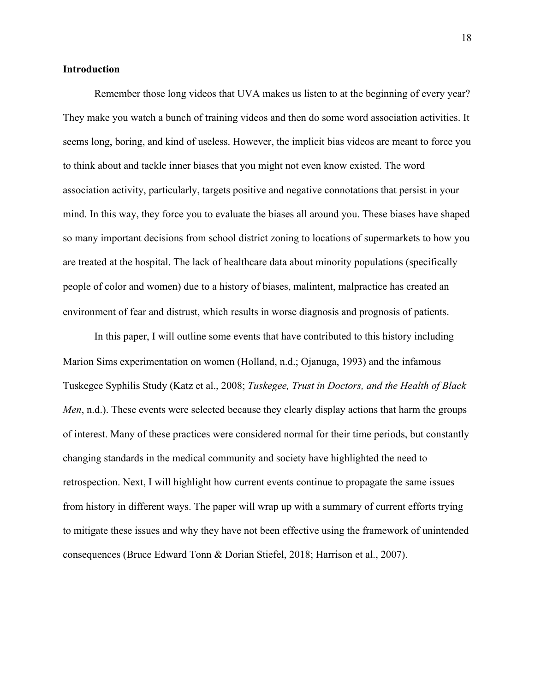### **Introduction**

Remember those long videos that UVA makes us listen to at the beginning of every year? They make you watch a bunch of training videos and then do some word association activities. It seems long, boring, and kind of useless. However, the implicit bias videos are meant to force you to think about and tackle inner biases that you might not even know existed. The word association activity, particularly, targets positive and negative connotations that persist in your mind. In this way, they force you to evaluate the biases all around you. These biases have shaped so many important decisions from school district zoning to locations of supermarkets to how you are treated at the hospital. The lack of healthcare data about minority populations (specifically people of color and women) due to a history of biases, malintent, malpractice has created an environment of fear and distrust, which results in worse diagnosis and prognosis of patients.

In this paper, I will outline some events that have contributed to this history including Marion Sims experimentation on women (Holland, n.d.; Ojanuga, 1993) and the infamous Tuskegee Syphilis Study (Katz et al., 2008; *Tuskegee, Trust in Doctors, and the Health of Black Men*, n.d.). These events were selected because they clearly display actions that harm the groups of interest. Many of these practices were considered normal for their time periods, but constantly changing standards in the medical community and society have highlighted the need to retrospection. Next, I will highlight how current events continue to propagate the same issues from history in different ways. The paper will wrap up with a summary of current efforts trying to mitigate these issues and why they have not been effective using the framework of unintended consequences (Bruce Edward Tonn & Dorian Stiefel, 2018; Harrison et al., 2007).

18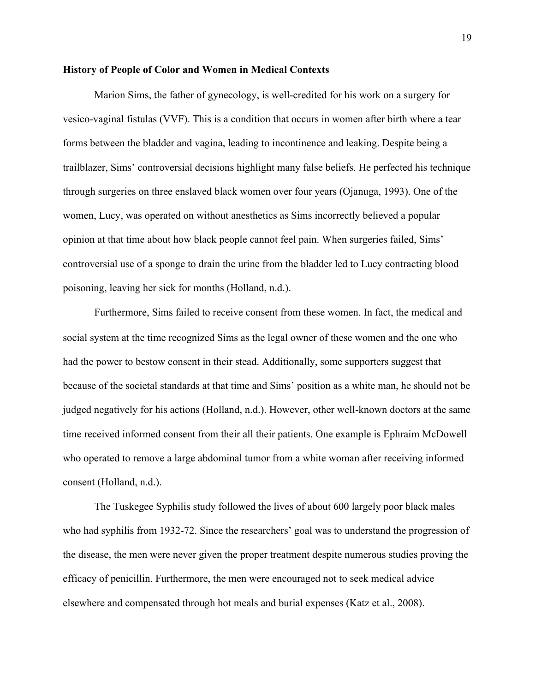# **History of People of Color and Women in Medical Contexts**

Marion Sims, the father of gynecology, is well-credited for his work on a surgery for vesico-vaginal fistulas (VVF). This is a condition that occurs in women after birth where a tear forms between the bladder and vagina, leading to incontinence and leaking. Despite being a trailblazer, Sims' controversial decisions highlight many false beliefs. He perfected his technique through surgeries on three enslaved black women over four years (Ojanuga, 1993). One of the women, Lucy, was operated on without anesthetics as Sims incorrectly believed a popular opinion at that time about how black people cannot feel pain. When surgeries failed, Sims' controversial use of a sponge to drain the urine from the bladder led to Lucy contracting blood poisoning, leaving her sick for months (Holland, n.d.).

Furthermore, Sims failed to receive consent from these women. In fact, the medical and social system at the time recognized Sims as the legal owner of these women and the one who had the power to bestow consent in their stead. Additionally, some supporters suggest that because of the societal standards at that time and Sims' position as a white man, he should not be judged negatively for his actions (Holland, n.d.). However, other well-known doctors at the same time received informed consent from their all their patients. One example is Ephraim McDowell who operated to remove a large abdominal tumor from a white woman after receiving informed consent (Holland, n.d.).

The Tuskegee Syphilis study followed the lives of about 600 largely poor black males who had syphilis from 1932-72. Since the researchers' goal was to understand the progression of the disease, the men were never given the proper treatment despite numerous studies proving the efficacy of penicillin. Furthermore, the men were encouraged not to seek medical advice elsewhere and compensated through hot meals and burial expenses (Katz et al., 2008).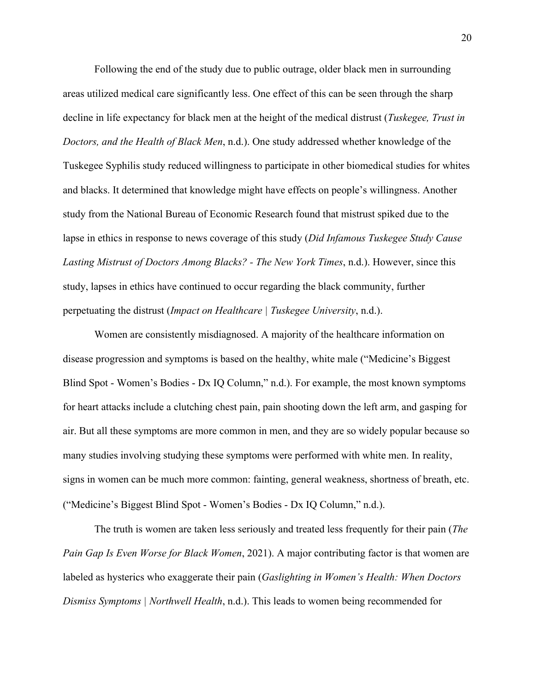Following the end of the study due to public outrage, older black men in surrounding areas utilized medical care significantly less. One effect of this can be seen through the sharp decline in life expectancy for black men at the height of the medical distrust (*Tuskegee, Trust in Doctors, and the Health of Black Men*, n.d.). One study addressed whether knowledge of the Tuskegee Syphilis study reduced willingness to participate in other biomedical studies for whites and blacks. It determined that knowledge might have effects on people's willingness. Another study from the National Bureau of Economic Research found that mistrust spiked due to the lapse in ethics in response to news coverage of this study (*Did Infamous Tuskegee Study Cause Lasting Mistrust of Doctors Among Blacks? - The New York Times*, n.d.). However, since this study, lapses in ethics have continued to occur regarding the black community, further perpetuating the distrust (*Impact on Healthcare | Tuskegee University*, n.d.).

Women are consistently misdiagnosed. A majority of the healthcare information on disease progression and symptoms is based on the healthy, white male ("Medicine's Biggest Blind Spot - Women's Bodies - Dx IQ Column," n.d.). For example, the most known symptoms for heart attacks include a clutching chest pain, pain shooting down the left arm, and gasping for air. But all these symptoms are more common in men, and they are so widely popular because so many studies involving studying these symptoms were performed with white men. In reality, signs in women can be much more common: fainting, general weakness, shortness of breath, etc. ("Medicine's Biggest Blind Spot - Women's Bodies - Dx IQ Column," n.d.).

The truth is women are taken less seriously and treated less frequently for their pain (*The Pain Gap Is Even Worse for Black Women*, 2021). A major contributing factor is that women are labeled as hysterics who exaggerate their pain (*Gaslighting in Women's Health: When Doctors Dismiss Symptoms | Northwell Health*, n.d.). This leads to women being recommended for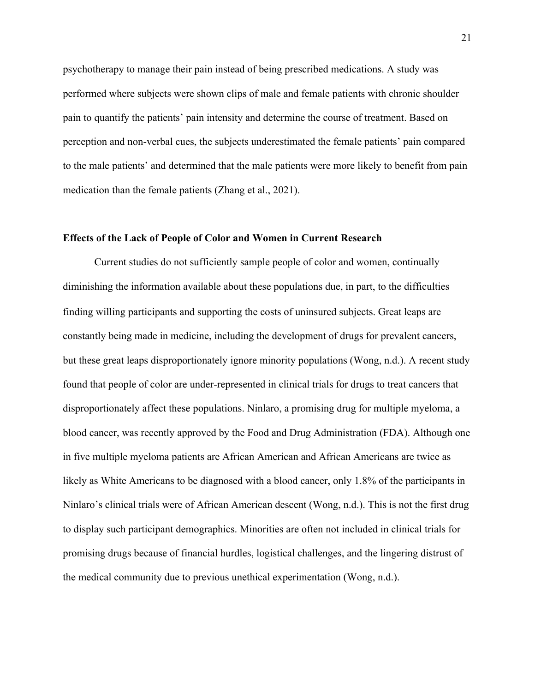psychotherapy to manage their pain instead of being prescribed medications. A study was performed where subjects were shown clips of male and female patients with chronic shoulder pain to quantify the patients' pain intensity and determine the course of treatment. Based on perception and non-verbal cues, the subjects underestimated the female patients' pain compared to the male patients' and determined that the male patients were more likely to benefit from pain medication than the female patients (Zhang et al., 2021).

#### **Effects of the Lack of People of Color and Women in Current Research**

Current studies do not sufficiently sample people of color and women, continually diminishing the information available about these populations due, in part, to the difficulties finding willing participants and supporting the costs of uninsured subjects. Great leaps are constantly being made in medicine, including the development of drugs for prevalent cancers, but these great leaps disproportionately ignore minority populations (Wong, n.d.). A recent study found that people of color are under-represented in clinical trials for drugs to treat cancers that disproportionately affect these populations. Ninlaro, a promising drug for multiple myeloma, a blood cancer, was recently approved by the Food and Drug Administration (FDA). Although one in five multiple myeloma patients are African American and African Americans are twice as likely as White Americans to be diagnosed with a blood cancer, only 1.8% of the participants in Ninlaro's clinical trials were of African American descent (Wong, n.d.). This is not the first drug to display such participant demographics. Minorities are often not included in clinical trials for promising drugs because of financial hurdles, logistical challenges, and the lingering distrust of the medical community due to previous unethical experimentation (Wong, n.d.).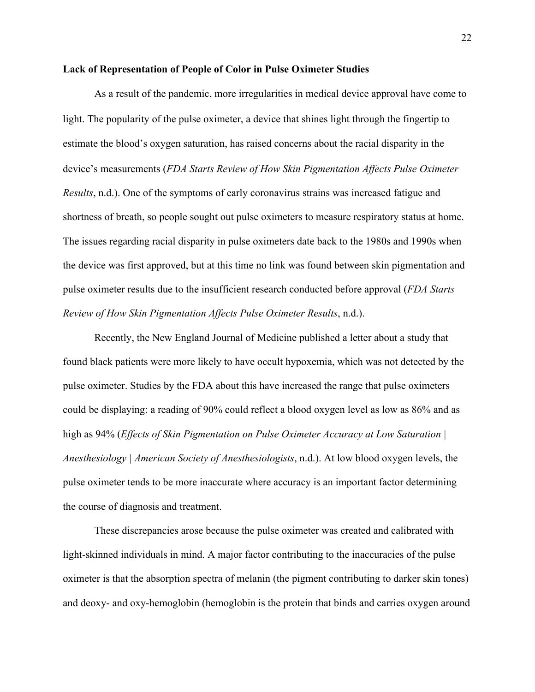# **Lack of Representation of People of Color in Pulse Oximeter Studies**

As a result of the pandemic, more irregularities in medical device approval have come to light. The popularity of the pulse oximeter, a device that shines light through the fingertip to estimate the blood's oxygen saturation, has raised concerns about the racial disparity in the device's measurements (*FDA Starts Review of How Skin Pigmentation Affects Pulse Oximeter Results*, n.d.). One of the symptoms of early coronavirus strains was increased fatigue and shortness of breath, so people sought out pulse oximeters to measure respiratory status at home. The issues regarding racial disparity in pulse oximeters date back to the 1980s and 1990s when the device was first approved, but at this time no link was found between skin pigmentation and pulse oximeter results due to the insufficient research conducted before approval (*FDA Starts Review of How Skin Pigmentation Affects Pulse Oximeter Results*, n.d.).

Recently, the New England Journal of Medicine published a letter about a study that found black patients were more likely to have occult hypoxemia, which was not detected by the pulse oximeter. Studies by the FDA about this have increased the range that pulse oximeters could be displaying: a reading of 90% could reflect a blood oxygen level as low as 86% and as high as 94% (*Effects of Skin Pigmentation on Pulse Oximeter Accuracy at Low Saturation | Anesthesiology | American Society of Anesthesiologists*, n.d.). At low blood oxygen levels, the pulse oximeter tends to be more inaccurate where accuracy is an important factor determining the course of diagnosis and treatment.

These discrepancies arose because the pulse oximeter was created and calibrated with light-skinned individuals in mind. A major factor contributing to the inaccuracies of the pulse oximeter is that the absorption spectra of melanin (the pigment contributing to darker skin tones) and deoxy- and oxy-hemoglobin (hemoglobin is the protein that binds and carries oxygen around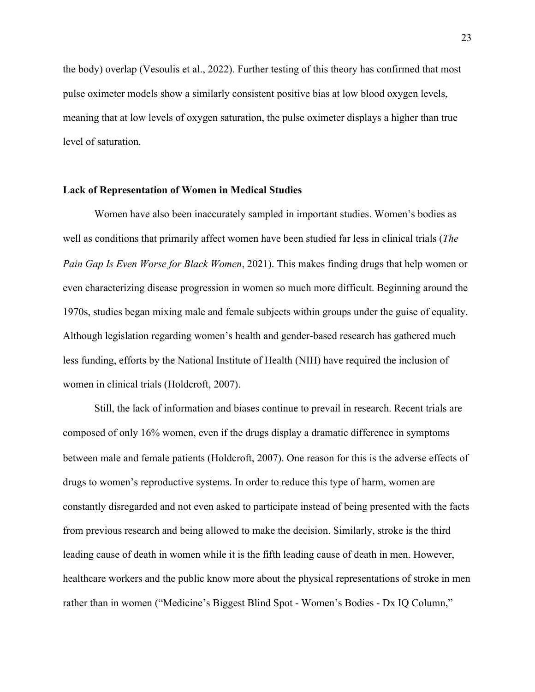the body) overlap (Vesoulis et al., 2022). Further testing of this theory has confirmed that most pulse oximeter models show a similarly consistent positive bias at low blood oxygen levels, meaning that at low levels of oxygen saturation, the pulse oximeter displays a higher than true level of saturation.

### **Lack of Representation of Women in Medical Studies**

Women have also been inaccurately sampled in important studies. Women's bodies as well as conditions that primarily affect women have been studied far less in clinical trials (*The Pain Gap Is Even Worse for Black Women*, 2021). This makes finding drugs that help women or even characterizing disease progression in women so much more difficult. Beginning around the 1970s, studies began mixing male and female subjects within groups under the guise of equality. Although legislation regarding women's health and gender-based research has gathered much less funding, efforts by the National Institute of Health (NIH) have required the inclusion of women in clinical trials (Holdcroft, 2007).

Still, the lack of information and biases continue to prevail in research. Recent trials are composed of only 16% women, even if the drugs display a dramatic difference in symptoms between male and female patients (Holdcroft, 2007). One reason for this is the adverse effects of drugs to women's reproductive systems. In order to reduce this type of harm, women are constantly disregarded and not even asked to participate instead of being presented with the facts from previous research and being allowed to make the decision. Similarly, stroke is the third leading cause of death in women while it is the fifth leading cause of death in men. However, healthcare workers and the public know more about the physical representations of stroke in men rather than in women ("Medicine's Biggest Blind Spot - Women's Bodies - Dx IQ Column,"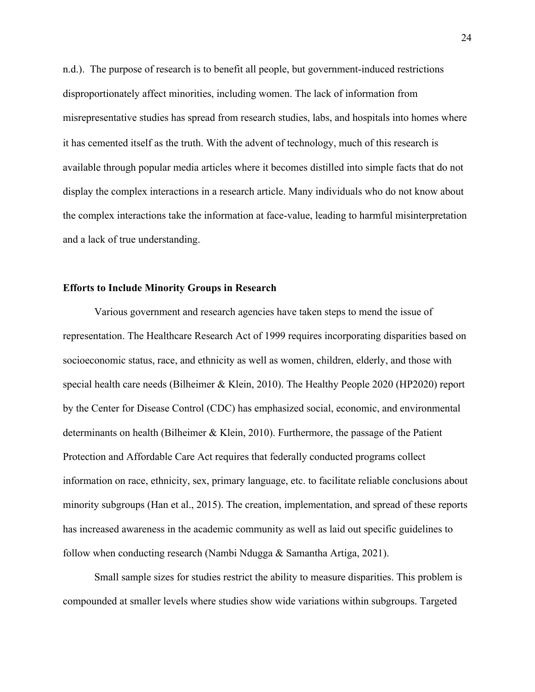n.d.). The purpose of research is to benefit all people, but government-induced restrictions disproportionately affect minorities, including women. The lack of information from misrepresentative studies has spread from research studies, labs, and hospitals into homes where it has cemented itself as the truth. With the advent of technology, much of this research is available through popular media articles where it becomes distilled into simple facts that do not display the complex interactions in a research article. Many individuals who do not know about the complex interactions take the information at face-value, leading to harmful misinterpretation and a lack of true understanding.

# **Efforts to Include Minority Groups in Research**

Various government and research agencies have taken steps to mend the issue of representation. The Healthcare Research Act of 1999 requires incorporating disparities based on socioeconomic status, race, and ethnicity as well as women, children, elderly, and those with special health care needs (Bilheimer & Klein, 2010). The Healthy People 2020 (HP2020) report by the Center for Disease Control (CDC) has emphasized social, economic, and environmental determinants on health (Bilheimer & Klein, 2010). Furthermore, the passage of the Patient Protection and Affordable Care Act requires that federally conducted programs collect information on race, ethnicity, sex, primary language, etc. to facilitate reliable conclusions about minority subgroups (Han et al., 2015). The creation, implementation, and spread of these reports has increased awareness in the academic community as well as laid out specific guidelines to follow when conducting research (Nambi Ndugga & Samantha Artiga, 2021).

Small sample sizes for studies restrict the ability to measure disparities. This problem is compounded at smaller levels where studies show wide variations within subgroups. Targeted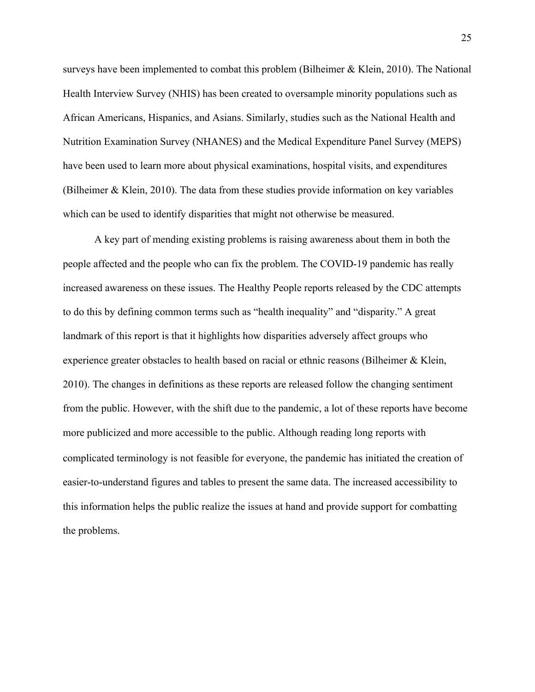surveys have been implemented to combat this problem (Bilheimer & Klein, 2010). The National Health Interview Survey (NHIS) has been created to oversample minority populations such as African Americans, Hispanics, and Asians. Similarly, studies such as the National Health and Nutrition Examination Survey (NHANES) and the Medical Expenditure Panel Survey (MEPS) have been used to learn more about physical examinations, hospital visits, and expenditures (Bilheimer & Klein, 2010). The data from these studies provide information on key variables which can be used to identify disparities that might not otherwise be measured.

A key part of mending existing problems is raising awareness about them in both the people affected and the people who can fix the problem. The COVID-19 pandemic has really increased awareness on these issues. The Healthy People reports released by the CDC attempts to do this by defining common terms such as "health inequality" and "disparity." A great landmark of this report is that it highlights how disparities adversely affect groups who experience greater obstacles to health based on racial or ethnic reasons (Bilheimer & Klein, 2010). The changes in definitions as these reports are released follow the changing sentiment from the public. However, with the shift due to the pandemic, a lot of these reports have become more publicized and more accessible to the public. Although reading long reports with complicated terminology is not feasible for everyone, the pandemic has initiated the creation of easier-to-understand figures and tables to present the same data. The increased accessibility to this information helps the public realize the issues at hand and provide support for combatting the problems.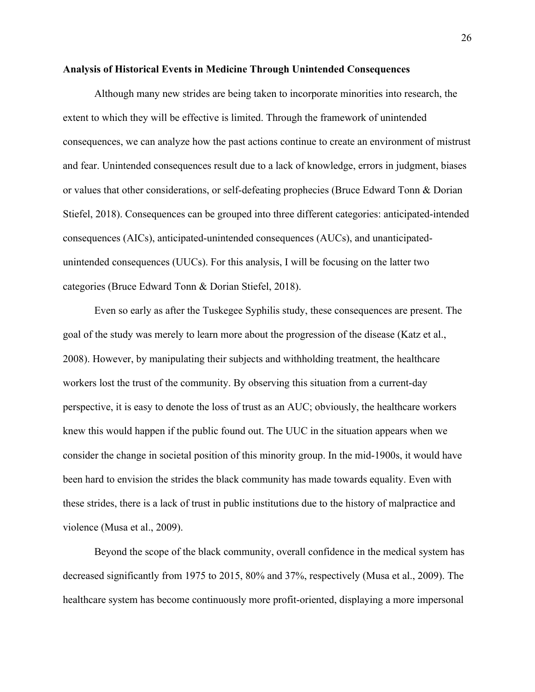#### **Analysis of Historical Events in Medicine Through Unintended Consequences**

Although many new strides are being taken to incorporate minorities into research, the extent to which they will be effective is limited. Through the framework of unintended consequences, we can analyze how the past actions continue to create an environment of mistrust and fear. Unintended consequences result due to a lack of knowledge, errors in judgment, biases or values that other considerations, or self-defeating prophecies (Bruce Edward Tonn & Dorian Stiefel, 2018). Consequences can be grouped into three different categories: anticipated-intended consequences (AICs), anticipated-unintended consequences (AUCs), and unanticipatedunintended consequences (UUCs). For this analysis, I will be focusing on the latter two categories (Bruce Edward Tonn & Dorian Stiefel, 2018).

Even so early as after the Tuskegee Syphilis study, these consequences are present. The goal of the study was merely to learn more about the progression of the disease (Katz et al., 2008). However, by manipulating their subjects and withholding treatment, the healthcare workers lost the trust of the community. By observing this situation from a current-day perspective, it is easy to denote the loss of trust as an AUC; obviously, the healthcare workers knew this would happen if the public found out. The UUC in the situation appears when we consider the change in societal position of this minority group. In the mid-1900s, it would have been hard to envision the strides the black community has made towards equality. Even with these strides, there is a lack of trust in public institutions due to the history of malpractice and violence (Musa et al., 2009).

Beyond the scope of the black community, overall confidence in the medical system has decreased significantly from 1975 to 2015, 80% and 37%, respectively (Musa et al., 2009). The healthcare system has become continuously more profit-oriented, displaying a more impersonal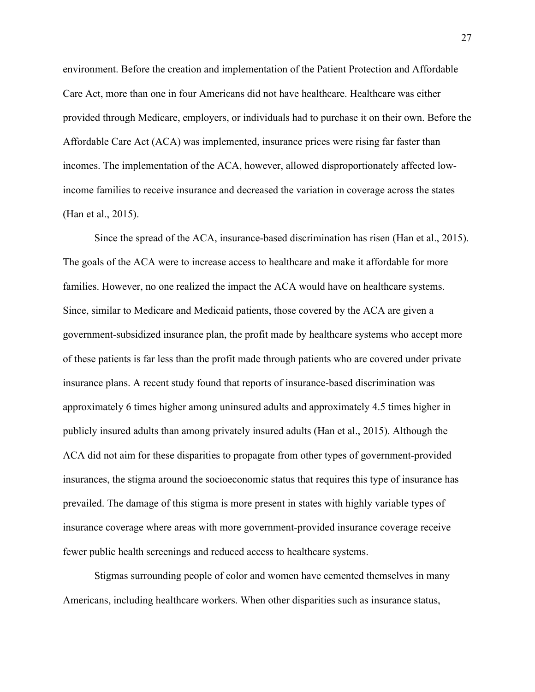environment. Before the creation and implementation of the Patient Protection and Affordable Care Act, more than one in four Americans did not have healthcare. Healthcare was either provided through Medicare, employers, or individuals had to purchase it on their own. Before the Affordable Care Act (ACA) was implemented, insurance prices were rising far faster than incomes. The implementation of the ACA, however, allowed disproportionately affected lowincome families to receive insurance and decreased the variation in coverage across the states (Han et al., 2015).

Since the spread of the ACA, insurance-based discrimination has risen (Han et al., 2015). The goals of the ACA were to increase access to healthcare and make it affordable for more families. However, no one realized the impact the ACA would have on healthcare systems. Since, similar to Medicare and Medicaid patients, those covered by the ACA are given a government-subsidized insurance plan, the profit made by healthcare systems who accept more of these patients is far less than the profit made through patients who are covered under private insurance plans. A recent study found that reports of insurance-based discrimination was approximately 6 times higher among uninsured adults and approximately 4.5 times higher in publicly insured adults than among privately insured adults (Han et al., 2015). Although the ACA did not aim for these disparities to propagate from other types of government-provided insurances, the stigma around the socioeconomic status that requires this type of insurance has prevailed. The damage of this stigma is more present in states with highly variable types of insurance coverage where areas with more government-provided insurance coverage receive fewer public health screenings and reduced access to healthcare systems.

Stigmas surrounding people of color and women have cemented themselves in many Americans, including healthcare workers. When other disparities such as insurance status,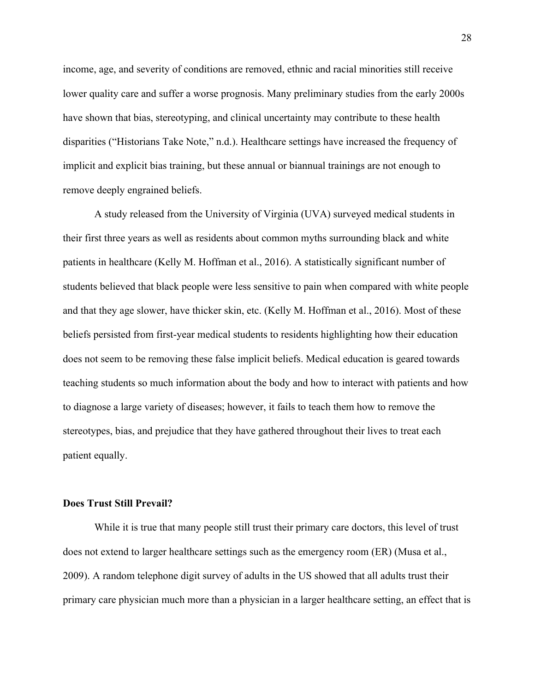income, age, and severity of conditions are removed, ethnic and racial minorities still receive lower quality care and suffer a worse prognosis. Many preliminary studies from the early 2000s have shown that bias, stereotyping, and clinical uncertainty may contribute to these health disparities ("Historians Take Note," n.d.). Healthcare settings have increased the frequency of implicit and explicit bias training, but these annual or biannual trainings are not enough to remove deeply engrained beliefs.

A study released from the University of Virginia (UVA) surveyed medical students in their first three years as well as residents about common myths surrounding black and white patients in healthcare (Kelly M. Hoffman et al., 2016). A statistically significant number of students believed that black people were less sensitive to pain when compared with white people and that they age slower, have thicker skin, etc. (Kelly M. Hoffman et al., 2016). Most of these beliefs persisted from first-year medical students to residents highlighting how their education does not seem to be removing these false implicit beliefs. Medical education is geared towards teaching students so much information about the body and how to interact with patients and how to diagnose a large variety of diseases; however, it fails to teach them how to remove the stereotypes, bias, and prejudice that they have gathered throughout their lives to treat each patient equally.

### **Does Trust Still Prevail?**

While it is true that many people still trust their primary care doctors, this level of trust does not extend to larger healthcare settings such as the emergency room (ER) (Musa et al., 2009). A random telephone digit survey of adults in the US showed that all adults trust their primary care physician much more than a physician in a larger healthcare setting, an effect that is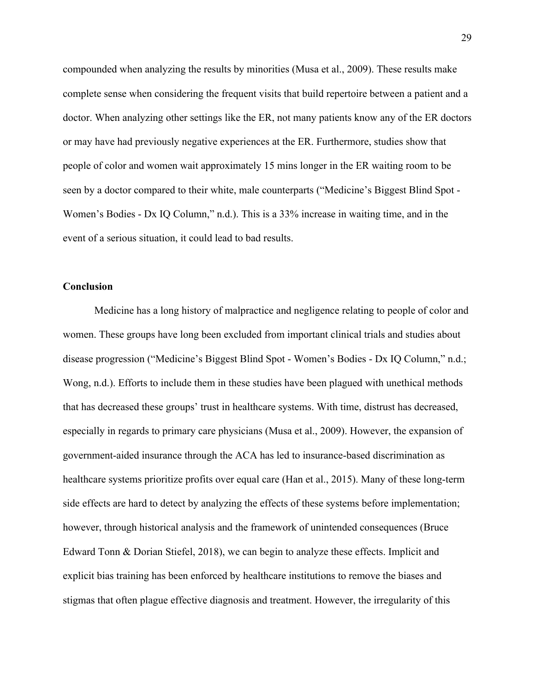compounded when analyzing the results by minorities (Musa et al., 2009). These results make complete sense when considering the frequent visits that build repertoire between a patient and a doctor. When analyzing other settings like the ER, not many patients know any of the ER doctors or may have had previously negative experiences at the ER. Furthermore, studies show that people of color and women wait approximately 15 mins longer in the ER waiting room to be seen by a doctor compared to their white, male counterparts ("Medicine's Biggest Blind Spot - Women's Bodies - Dx IQ Column," n.d.). This is a 33% increase in waiting time, and in the event of a serious situation, it could lead to bad results.

### **Conclusion**

Medicine has a long history of malpractice and negligence relating to people of color and women. These groups have long been excluded from important clinical trials and studies about disease progression ("Medicine's Biggest Blind Spot - Women's Bodies - Dx IQ Column," n.d.; Wong, n.d.). Efforts to include them in these studies have been plagued with unethical methods that has decreased these groups' trust in healthcare systems. With time, distrust has decreased, especially in regards to primary care physicians (Musa et al., 2009). However, the expansion of government-aided insurance through the ACA has led to insurance-based discrimination as healthcare systems prioritize profits over equal care (Han et al., 2015). Many of these long-term side effects are hard to detect by analyzing the effects of these systems before implementation; however, through historical analysis and the framework of unintended consequences (Bruce Edward Tonn & Dorian Stiefel, 2018), we can begin to analyze these effects. Implicit and explicit bias training has been enforced by healthcare institutions to remove the biases and stigmas that often plague effective diagnosis and treatment. However, the irregularity of this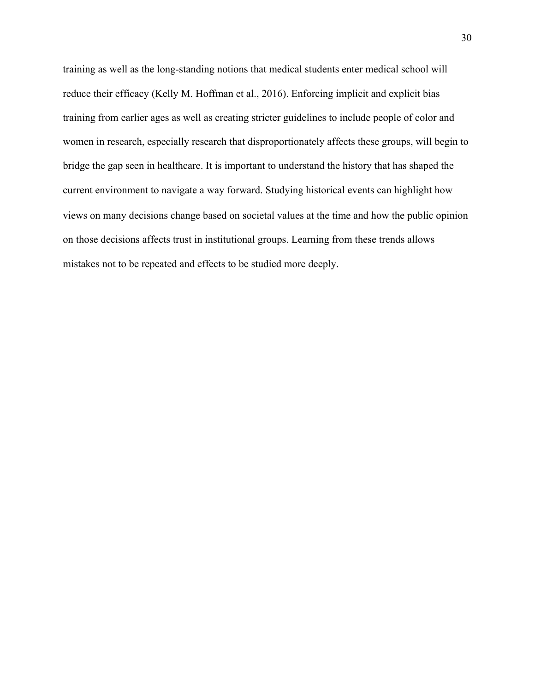training as well as the long-standing notions that medical students enter medical school will reduce their efficacy (Kelly M. Hoffman et al., 2016). Enforcing implicit and explicit bias training from earlier ages as well as creating stricter guidelines to include people of color and women in research, especially research that disproportionately affects these groups, will begin to bridge the gap seen in healthcare. It is important to understand the history that has shaped the current environment to navigate a way forward. Studying historical events can highlight how views on many decisions change based on societal values at the time and how the public opinion on those decisions affects trust in institutional groups. Learning from these trends allows mistakes not to be repeated and effects to be studied more deeply.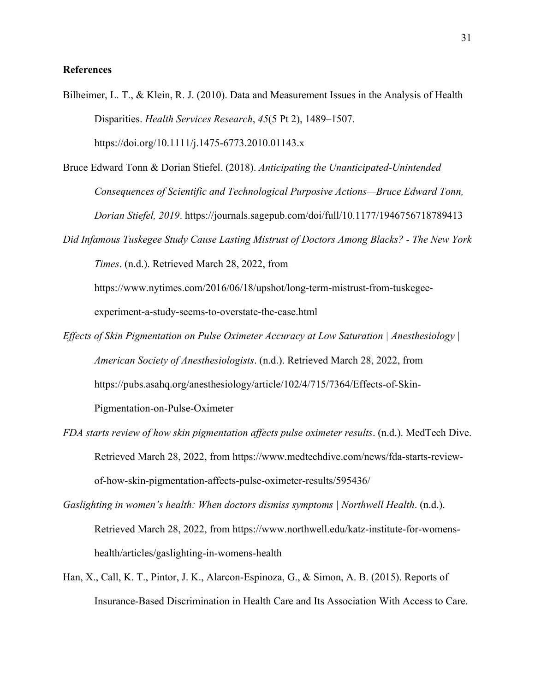# **References**

Bilheimer, L. T., & Klein, R. J. (2010). Data and Measurement Issues in the Analysis of Health Disparities. *Health Services Research*, *45*(5 Pt 2), 1489–1507. https://doi.org/10.1111/j.1475-6773.2010.01143.x

Bruce Edward Tonn & Dorian Stiefel. (2018). *Anticipating the Unanticipated-Unintended Consequences of Scientific and Technological Purposive Actions—Bruce Edward Tonn,* 

*Dorian Stiefel, 2019*. https://journals.sagepub.com/doi/full/10.1177/1946756718789413

*Did Infamous Tuskegee Study Cause Lasting Mistrust of Doctors Among Blacks? - The New York Times*. (n.d.). Retrieved March 28, 2022, from

https://www.nytimes.com/2016/06/18/upshot/long-term-mistrust-from-tuskegeeexperiment-a-study-seems-to-overstate-the-case.html

- *Effects of Skin Pigmentation on Pulse Oximeter Accuracy at Low Saturation | Anesthesiology | American Society of Anesthesiologists*. (n.d.). Retrieved March 28, 2022, from https://pubs.asahq.org/anesthesiology/article/102/4/715/7364/Effects-of-Skin-Pigmentation-on-Pulse-Oximeter
- *FDA starts review of how skin pigmentation affects pulse oximeter results*. (n.d.). MedTech Dive. Retrieved March 28, 2022, from https://www.medtechdive.com/news/fda-starts-reviewof-how-skin-pigmentation-affects-pulse-oximeter-results/595436/

*Gaslighting in women's health: When doctors dismiss symptoms | Northwell Health*. (n.d.). Retrieved March 28, 2022, from https://www.northwell.edu/katz-institute-for-womenshealth/articles/gaslighting-in-womens-health

Han, X., Call, K. T., Pintor, J. K., Alarcon-Espinoza, G., & Simon, A. B. (2015). Reports of Insurance-Based Discrimination in Health Care and Its Association With Access to Care.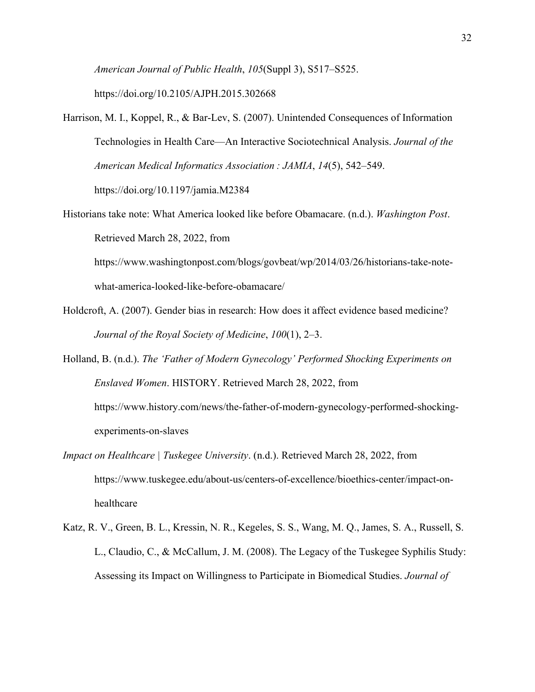*American Journal of Public Health*, *105*(Suppl 3), S517–S525. https://doi.org/10.2105/AJPH.2015.302668

- Harrison, M. I., Koppel, R., & Bar-Lev, S. (2007). Unintended Consequences of Information Technologies in Health Care—An Interactive Sociotechnical Analysis. *Journal of the American Medical Informatics Association : JAMIA*, *14*(5), 542–549. https://doi.org/10.1197/jamia.M2384
- Historians take note: What America looked like before Obamacare. (n.d.). *Washington Post*. Retrieved March 28, 2022, from

https://www.washingtonpost.com/blogs/govbeat/wp/2014/03/26/historians-take-notewhat-america-looked-like-before-obamacare/

Holdcroft, A. (2007). Gender bias in research: How does it affect evidence based medicine? *Journal of the Royal Society of Medicine*, *100*(1), 2–3.

Holland, B. (n.d.). *The 'Father of Modern Gynecology' Performed Shocking Experiments on Enslaved Women*. HISTORY. Retrieved March 28, 2022, from https://www.history.com/news/the-father-of-modern-gynecology-performed-shockingexperiments-on-slaves

- *Impact on Healthcare | Tuskegee University*. (n.d.). Retrieved March 28, 2022, from https://www.tuskegee.edu/about-us/centers-of-excellence/bioethics-center/impact-onhealthcare
- Katz, R. V., Green, B. L., Kressin, N. R., Kegeles, S. S., Wang, M. Q., James, S. A., Russell, S. L., Claudio, C., & McCallum, J. M. (2008). The Legacy of the Tuskegee Syphilis Study: Assessing its Impact on Willingness to Participate in Biomedical Studies. *Journal of*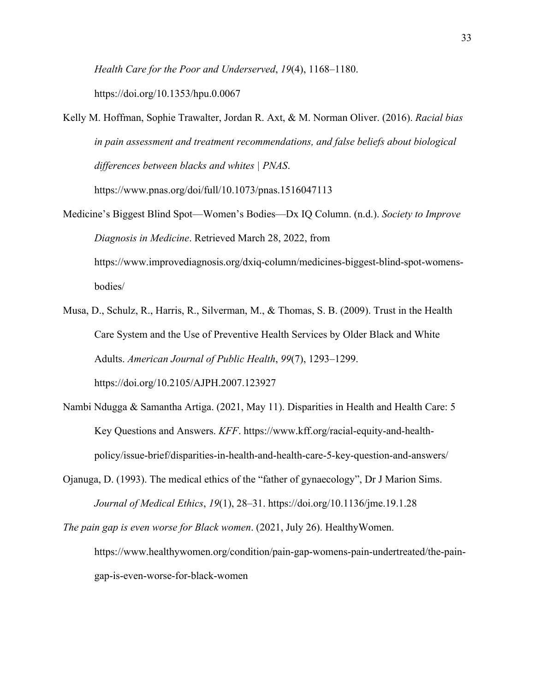*Health Care for the Poor and Underserved*, *19*(4), 1168–1180.

https://doi.org/10.1353/hpu.0.0067

Kelly M. Hoffman, Sophie Trawalter, Jordan R. Axt, & M. Norman Oliver. (2016). *Racial bias in pain assessment and treatment recommendations, and false beliefs about biological differences between blacks and whites | PNAS*.

https://www.pnas.org/doi/full/10.1073/pnas.1516047113

- Medicine's Biggest Blind Spot—Women's Bodies—Dx IQ Column. (n.d.). *Society to Improve Diagnosis in Medicine*. Retrieved March 28, 2022, from https://www.improvediagnosis.org/dxiq-column/medicines-biggest-blind-spot-womensbodies/
- Musa, D., Schulz, R., Harris, R., Silverman, M., & Thomas, S. B. (2009). Trust in the Health Care System and the Use of Preventive Health Services by Older Black and White Adults. *American Journal of Public Health*, *99*(7), 1293–1299. https://doi.org/10.2105/AJPH.2007.123927
- Nambi Ndugga & Samantha Artiga. (2021, May 11). Disparities in Health and Health Care: 5 Key Questions and Answers. *KFF*. https://www.kff.org/racial-equity-and-healthpolicy/issue-brief/disparities-in-health-and-health-care-5-key-question-and-answers/
- Ojanuga, D. (1993). The medical ethics of the "father of gynaecology", Dr J Marion Sims. *Journal of Medical Ethics*, *19*(1), 28–31. https://doi.org/10.1136/jme.19.1.28
- *The pain gap is even worse for Black women*. (2021, July 26). HealthyWomen. https://www.healthywomen.org/condition/pain-gap-womens-pain-undertreated/the-paingap-is-even-worse-for-black-women